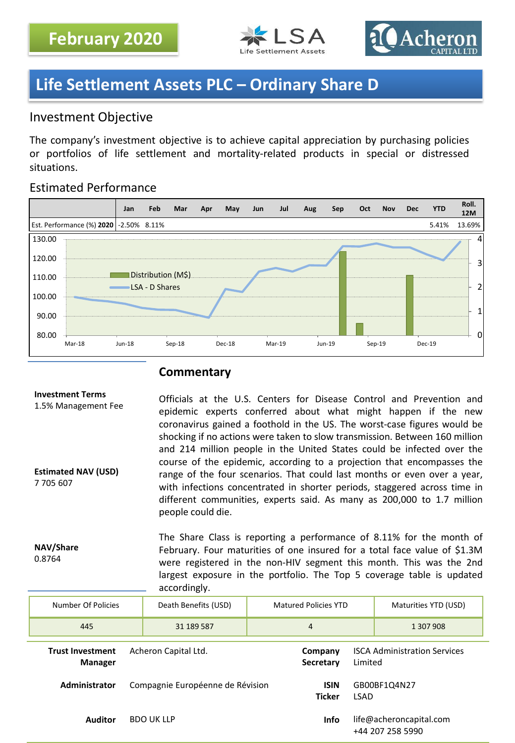



### **Life Settlement Assets PLC – Ordinary Share D**

### Investment Objective

The company's investment objective is to achieve capital appreciation by purchasing policies or portfolios of life settlement and mortality-related products in special or distressed situations.

### Estimated Performance



### **Commentary**

#### **Investment Terms** 1.5% Management Fee **Estimated NAV (USD)** 7 705 607 Officials at the U.S. Centers for Disease Control and Prevention and epidemic experts conferred about what might happen if the new coronavirus gained a foothold in the US. The worst-case figures would be shocking if no actions were taken to slow transmission. Between 160 million and 214 million people in the United States could be infected over the course of the epidemic, according to a projection that encompasses the range of the four scenarios. That could last months or even over a year, with infections concentrated in shorter periods, staggered across time in different communities, experts said. As many as 200,000 to 1.7 million people could die.

**NAV/Share** 0.8764

The Share Class is reporting a performance of 8.11% for the month of February. Four maturities of one insured for a total face value of \$1.3M were registered in the non-HIV segment this month. This was the 2nd largest exposure in the portfolio. The Top 5 coverage table is updated accordingly.

| Number Of Policies                        | Death Benefits (USD)             | <b>Matured Policies YTD</b>  |                                                | Maturities YTD (USD)                        |  |
|-------------------------------------------|----------------------------------|------------------------------|------------------------------------------------|---------------------------------------------|--|
| 445                                       | 31 189 587                       | 4                            |                                                | 1 307 908                                   |  |
| <b>Trust Investment</b><br><b>Manager</b> | Acheron Capital Ltd.             | Company<br>Secretary         | <b>ISCA Administration Services</b><br>Limited |                                             |  |
| Administrator                             | Compagnie Européenne de Révision | <b>ISIN</b><br><b>Ticker</b> | <b>LSAD</b>                                    | GB00BF1Q4N27                                |  |
| <b>Auditor</b>                            | <b>BDO UK LLP</b>                | <b>Info</b>                  |                                                | life@acheroncapital.com<br>+44 207 258 5990 |  |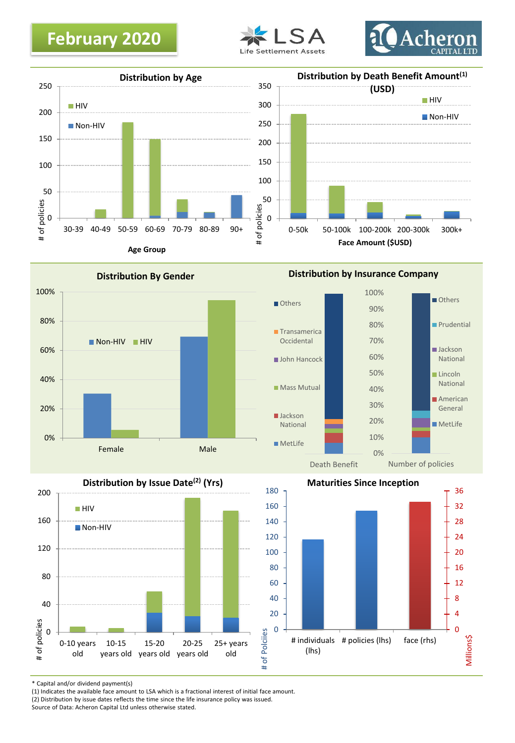## **February 2020**









**Distribution by Insurance Company**







\* Capital and/or dividend payment(s)

(1) Indicates the available face amount to LSA which is a fractional interest of initial face amount.

Source of Data: Acheron Capital Ltd unless otherwise stated.

<sup>(2)</sup> Distribution by issue dates reflects the time since the life insurance policy was issued.